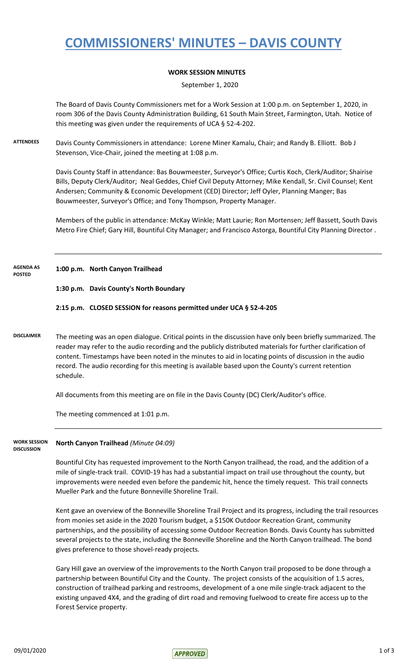## **COMMISSIONERS' MINUTES – DAVIS COUNTY**

### **WORK SESSION MINUTES**

September 1, 2020

The Board of Davis County Commissioners met for a Work Session at 1:00 p.m. on September 1, 2020, in room 306 of the Davis County Administration Building, 61 South Main Street, Farmington, Utah. Notice of this meeting was given under the requirements of UCA § 52-4-202.

**ATTENDEES** Davis County Commissioners in attendance: Lorene Miner Kamalu, Chair; and Randy B. Elliott. Bob J Stevenson, Vice-Chair, joined the meeting at 1:08 p.m.

> Davis County Staff in attendance: Bas Bouwmeester, Surveyor's Office; Curtis Koch, Clerk/Auditor; Shairise Bills, Deputy Clerk/Auditor; Neal Geddes, Chief Civil Deputy Attorney; Mike Kendall, Sr. Civil Counsel; Kent Andersen; Community & Economic Development (CED) Director; Jeff Oyler, Planning Manger; Bas Bouwmeester, Surveyor's Office; and Tony Thompson, Property Manager.

Members of the public in attendance: McKay Winkle; Matt Laurie; Ron Mortensen; Jeff Bassett, South Davis Metro Fire Chief; Gary Hill, Bountiful City Manager; and Francisco Astorga, Bountiful City Planning Director .

**1:00 p.m. North Canyon Trailhead AGENDA AS POSTED**

### **1:30 p.m. Davis County's North Boundary**

### **2:15 p.m. CLOSED SESSION for reasons permitted under UCA § 52-4-205**

**DISCLAIMER** The meeting was an open dialogue. Critical points in the discussion have only been briefly summarized. The reader may refer to the audio recording and the publicly distributed materials for further clarification of content. Timestamps have been noted in the minutes to aid in locating points of discussion in the audio record. The audio recording for this meeting is available based upon the County's current retention schedule.

All documents from this meeting are on file in the Davis County (DC) Clerk/Auditor's office.

The meeting commenced at 1:01 p.m.

#### **North Canyon Trailhead** *(Minute 04:09)* **WORK SESSION DISCUSSION**

Bountiful City has requested improvement to the North Canyon trailhead, the road, and the addition of a mile of single-track trail. COVID-19 has had a substantial impact on trail use throughout the county, but improvements were needed even before the pandemic hit, hence the timely request. This trail connects Mueller Park and the future Bonneville Shoreline Trail.

Kent gave an overview of the Bonneville Shoreline Trail Project and its progress, including the trail resources from monies set aside in the 2020 Tourism budget, a \$150K Outdoor Recreation Grant, community partnerships, and the possibility of accessing some Outdoor Recreation Bonds. Davis County has submitted several projects to the state, including the Bonneville Shoreline and the North Canyon trailhead. The bond gives preference to those shovel-ready projects.

Gary Hill gave an overview of the improvements to the North Canyon trail proposed to be done through a partnership between Bountiful City and the County. The project consists of the acquisition of 1.5 acres, construction of trailhead parking and restrooms, development of a one mile single-track adjacent to the existing unpaved 4X4, and the grading of dirt road and removing fuelwood to create fire access up to the Forest Service property.

 $09/01/2020$  1 of 3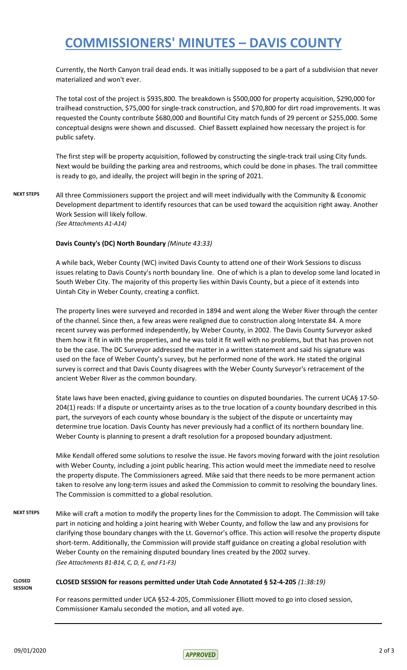# **COMMISSIONERS' MINUTES – DAVIS COUNTY**

Currently, the North Canyon trail dead ends. It was initially supposed to be a part of a subdivision that never materialized and won't ever.

The total cost of the project is \$935,800. The breakdown is \$500,000 for property acquisition, \$290,000 for trailhead construction, \$75,000 for single-track construction, and \$70,800 for dirt road improvements. It was requested the County contribute \$680,000 and Bountiful City match funds of 29 percent or \$255,000. Some conceptual designs were shown and discussed. Chief Bassett explained how necessary the project is for public safety.

The first step will be property acquisition, followed by constructing the single-track trail using City funds. Next would be building the parking area and restrooms, which could be done in phases. The trail committee is ready to go, and ideally, the project will begin in the spring of 2021.

**NEXT STEPS** All three Commissioners support the project and will meet individually with the Community & Economic Development department to identify resources that can be used toward the acquisition right away. Another Work Session will likely follow. *(See Attachments A1-A14)*

### **Davis County's (DC) North Boundary** *(Minute 43:33)*

A while back, Weber County (WC) invited Davis County to attend one of their Work Sessions to discuss issues relating to Davis County's north boundary line. One of which is a plan to develop some land located in South Weber City. The majority of this property lies within Davis County, but a piece of it extends into Uintah City in Weber County, creating a conflict.

The property lines were surveyed and recorded in 1894 and went along the Weber River through the center of the channel. Since then, a few areas were realigned due to construction along Interstate 84. A more recent survey was performed independently, by Weber County, in 2002. The Davis County Surveyor asked them how it fit in with the properties, and he was told it fit well with no problems, but that has proven not to be the case. The DC Surveyor addressed the matter in a written statement and said his signature was used on the face of Weber County's survey, but he performed none of the work. He stated the original survey is correct and that Davis County disagrees with the Weber County Surveyor's retracement of the ancient Weber River as the common boundary.

State laws have been enacted, giving guidance to counties on disputed boundaries. The current UCA§ 17-50- 204(1) reads: If a dispute or uncertainty arises as to the true location of a county boundary described in this part, the surveyors of each county whose boundary is the subject of the dispute or uncertainty may determine true location. Davis County has never previously had a conflict of its northern boundary line. Weber County is planning to present a draft resolution for a proposed boundary adjustment.

Mike Kendall offered some solutions to resolve the issue. He favors moving forward with the joint resolution with Weber County, including a joint public hearing. This action would meet the immediate need to resolve the property dispute. The Commissioners agreed. Mike said that there needs to be more permanent action taken to resolve any long-term issues and asked the Commission to commit to resolving the boundary lines. The Commission is committed to a global resolution.

**NEXT STEPS** Mike will craft a motion to modify the property lines for the Commission to adopt. The Commission will take part in noticing and holding a joint hearing with Weber County, and follow the law and any provisions for clarifying those boundary changes with the Lt. Governor's office. This action will resolve the property dispute short-term. Additionally, the Commission will provide staff guidance on creating a global resolution with Weber County on the remaining disputed boundary lines created by the 2002 survey. *(See Attachments B1-B14, C, D, E, and F1-F3)*

#### **CLOSED SESSION CLOSED SESSION for reasons permitted under Utah Code Annotated § 52-4-205** *(1:38:19)*

For reasons permitted under UCA §52-4-205, Commissioner Elliott moved to go into closed session, Commissioner Kamalu seconded the motion, and all voted aye.